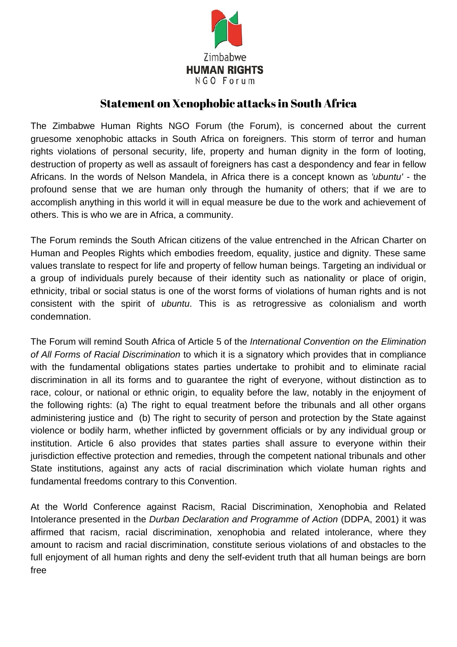

## Statement on Xenophobic attacks in South Africa

The Zimbabwe Human Rights NGO Forum (the Forum), is concerned about the current gruesome xenophobic attacks in South Africa on foreigners. This storm of terror and human rights violations of personal security, life, property and human dignity in the form of looting, destruction of property as well as assault of foreigners has cast a despondency and fear in fellow Africans. In the words of Nelson Mandela, in Africa there is a concept known as *'ubuntu'* - the profound sense that we are human only through the humanity of others; that if we are to accomplish anything in this world it will in equal measure be due to the work and achievement of others. This is who we are in Africa, a community.

The Forum reminds the South African citizens of the value entrenched in the African Charter on Human and Peoples Rights which embodies freedom, equality, justice and dignity. These same values translate to respect for life and property of fellow human beings. Targeting an individual or a group of individuals purely because of their identity such as nationality or place of origin, ethnicity, tribal or social status is one of the worst forms of violations of human rights and is not consistent with the spirit of *ubuntu*. This is as retrogressive as colonialism and worth condemnation.

The Forum will remind South Africa of Article 5 of the *International Convention on the Elimination of All Forms of Racial Discrimination* to which it is a signatory which provides that in compliance with the fundamental obligations states parties undertake to prohibit and to eliminate racial discrimination in all its forms and to guarantee the right of everyone, without distinction as to race, colour, or national or ethnic origin, to equality before the law, notably in the enjoyment of the following rights: (a) The right to equal treatment before the tribunals and all other organs administering justice and (b) The right to security of person and protection by the State against violence or bodily harm, whether inflicted by government officials or by any individual group or institution. Article 6 also provides that states parties shall assure to everyone within their jurisdiction effective protection and remedies, through the competent national tribunals and other State institutions, against any acts of racial discrimination which violate human rights and fundamental freedoms contrary to this Convention.

At the World Conference against Racism, Racial Discrimination, Xenophobia and Related Intolerance presented in the *Durban Declaration and Programme of Action* (DDPA, 2001) it was affirmed that racism, racial discrimination, xenophobia and related intolerance, where they amount to racism and racial discrimination, constitute serious violations of and obstacles to the full enjoyment of all human rights and deny the self-evident truth that all human beings are born free